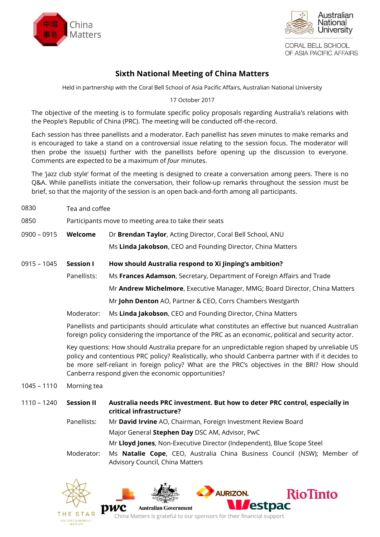



CORAL BELL SCHOOL OF ASIA PACIFIC AFFAIRS

## **Sixth National Meeting of China Matters**

Held in partnership with the Coral Bell School of Asia Pacific Affairs, Australian National University

17 October 2017

The objective of the meeting is to formulate specific policy proposals regarding Australia's relations with the People's Republic of China (PRC). The meeting will be conducted off-the-record.

Each session has three panellists and a moderator. Each panellist has *seven* minutes to make remarks and is encouraged to take a stand on a controversial issue relating to the session focus. The moderator will then probe the issue(s) further with the panellists before opening up the discussion to everyone. Comments are expected to be a maximum of *four* minutes.

The 'jazz club style' format of the meeting is designed to create a conversation among peers. There is no Q&A. While panellists initiate the conversation, their follow-up remarks throughout the session must be brief, so that the majority of the session is an open back-and-forth among all participants.

0830 Tea and coffee

0850 Participants move to meeting area to take their seats

- 0900 0915 **Welcome** Dr **Brendan Taylor**, Acting Director, Coral Bell School, ANU Ms **Linda Jakobson**, CEO and Founding Director, China Matters
- 0915 1045 **Session I How should Australia respond to Xi Jinping's ambition?**

Panellists: Ms **Frances Adamson**, Secretary, Department of Foreign Affairs and Trade

Mr **Andrew Michelmore**, Executive Manager, MMG; Board Director, China Matters

Mr **John Denton** AO, Partner & CEO, Corrs Chambers Westgarth

Moderator: Ms **Linda Jakobson**, CEO and Founding Director, China Matters

Panellists and participants should articulate what constitutes an effective but nuanced Australian foreign policy considering the importance of the PRC as an economic, political and security actor.

Key questions: How should Australia prepare for an unpredictable region shaped by unreliable US policy and contentious PRC policy? Realistically, who should Canberra partner with if it decides to be more self-reliant in foreign policy? What are the PRC's objectives in the BRI? How should Canberra respond given the economic opportunities?

- 1045 1110 Morning tea
- 1110 1240 **Session II Australia needs PRC investment. But how to deter PRC control, especially in critical infrastructure?**
	- Panellists: Mr **David Irvine** AO, Chairman, Foreign Investment Review Board Major General **Stephen Day** DSC AM, Advisor, PwC Mr **Lloyd Jones**, Non-Executive Director (Independent), Blue Scope Steel
	- Moderator: Ms **Natalie Cope**, CEO, Australia China Business Council (NSW); Member of Advisory Council, China Matters

**AURIZON** 

estpac

**RioTinto** 





**Australian Government** 

pwc China Matters is grateful to our sponsors for their financial support